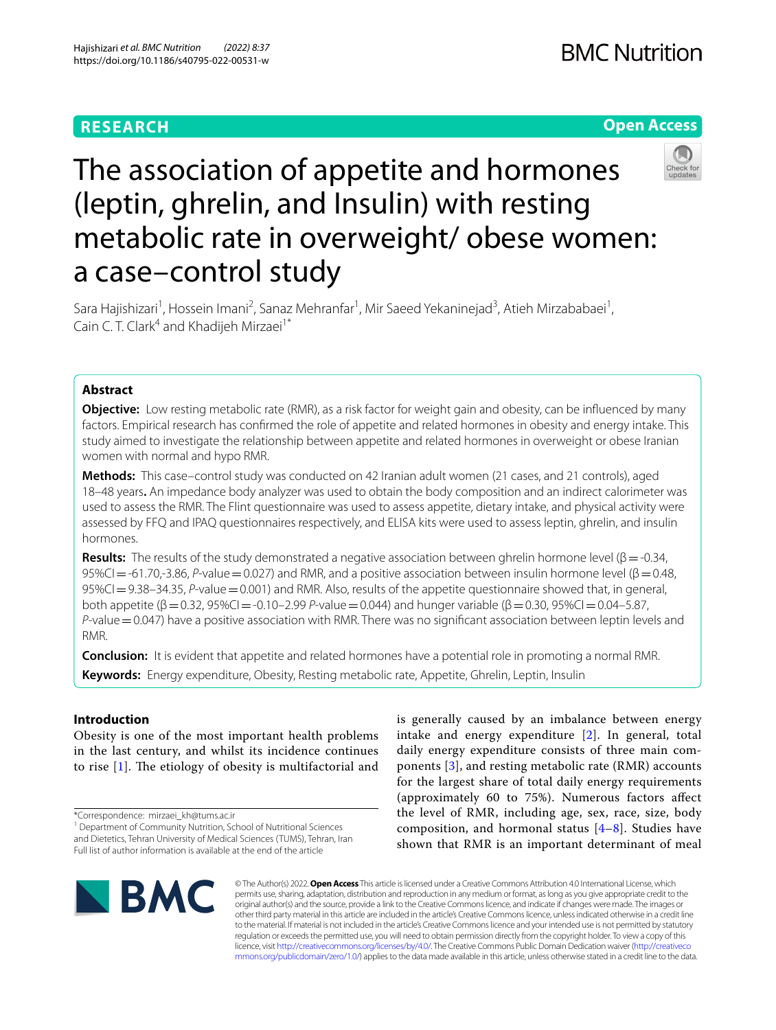# **RESEARCH**

# **Open Access**



# The association of appetite and hormones (leptin, ghrelin, and Insulin) with resting metabolic rate in overweight/ obese women: a case–control study

Sara Hajishizari<sup>1</sup>, Hossein Imani<sup>2</sup>, Sanaz Mehranfar<sup>1</sup>, Mir Saeed Yekaninejad<sup>3</sup>, Atieh Mirzababaei<sup>1</sup>, Cain C. T. Clark<sup>4</sup> and Khadijeh Mirzaei<sup>1\*</sup>

# **Abstract**

**Objective:** Low resting metabolic rate (RMR), as a risk factor for weight gain and obesity, can be infuenced by many factors. Empirical research has confrmed the role of appetite and related hormones in obesity and energy intake. This study aimed to investigate the relationship between appetite and related hormones in overweight or obese Iranian women with normal and hypo RMR.

**Methods:** This case–control study was conducted on 42 Iranian adult women (21 cases, and 21 controls), aged 18–48 years**.** An impedance body analyzer was used to obtain the body composition and an indirect calorimeter was used to assess the RMR. The Flint questionnaire was used to assess appetite, dietary intake, and physical activity were assessed by FFQ and IPAQ questionnaires respectively, and ELISA kits were used to assess leptin, ghrelin, and insulin hormones.

**Results:** The results of the study demonstrated a negative association between ghrelin hormone level ( $\beta = -0.34$ , 95%CI=-61.70,-3.86, *P*-value=0.027) and RMR, and a positive association between insulin hormone level (β=0.48, 95%CI=9.38–34.35, *P*-value=0.001) and RMR. Also, results of the appetite questionnaire showed that, in general, both appetite (β=0.32, 95%CI=-0.10–2.99 *P*-value=0.044) and hunger variable (β=0.30, 95%CI=0.04–5.87, *P*-value = 0.047) have a positive association with RMR. There was no significant association between leptin levels and RMR.

**Conclusion:** It is evident that appetite and related hormones have a potential role in promoting a normal RMR. **Keywords:** Energy expenditure, Obesity, Resting metabolic rate, Appetite, Ghrelin, Leptin, Insulin

## **Introduction**

Obesity is one of the most important health problems in the last century, and whilst its incidence continues to rise  $[1]$  $[1]$ . The etiology of obesity is multifactorial and

is generally caused by an imbalance between energy intake and energy expenditure [[2](#page-10-1)]. In general, total daily energy expenditure consists of three main components [[3\]](#page-10-2), and resting metabolic rate (RMR) accounts for the largest share of total daily energy requirements (approximately 60 to 75%). Numerous factors afect the level of RMR, including age, sex, race, size, body composition, and hormonal status  $[4-8]$  $[4-8]$ . Studies have shown that RMR is an important determinant of meal



© The Author(s) 2022. **Open Access** This article is licensed under a Creative Commons Attribution 4.0 International License, which permits use, sharing, adaptation, distribution and reproduction in any medium or format, as long as you give appropriate credit to the original author(s) and the source, provide a link to the Creative Commons licence, and indicate if changes were made. The images or other third party material in this article are included in the article's Creative Commons licence, unless indicated otherwise in a credit line to the material. If material is not included in the article's Creative Commons licence and your intended use is not permitted by statutory regulation or exceeds the permitted use, you will need to obtain permission directly from the copyright holder. To view a copy of this licence, visit [http://creativecommons.org/licenses/by/4.0/.](http://creativecommons.org/licenses/by/4.0/) The Creative Commons Public Domain Dedication waiver ([http://creativeco](http://creativecommons.org/publicdomain/zero/1.0/) [mmons.org/publicdomain/zero/1.0/](http://creativecommons.org/publicdomain/zero/1.0/)) applies to the data made available in this article, unless otherwise stated in a credit line to the data.

<sup>\*</sup>Correspondence: mirzaei\_kh@tums.ac.ir

<sup>&</sup>lt;sup>1</sup> Department of Community Nutrition, School of Nutritional Sciences and Dietetics, Tehran University of Medical Sciences (TUMS), Tehran, Iran Full list of author information is available at the end of the article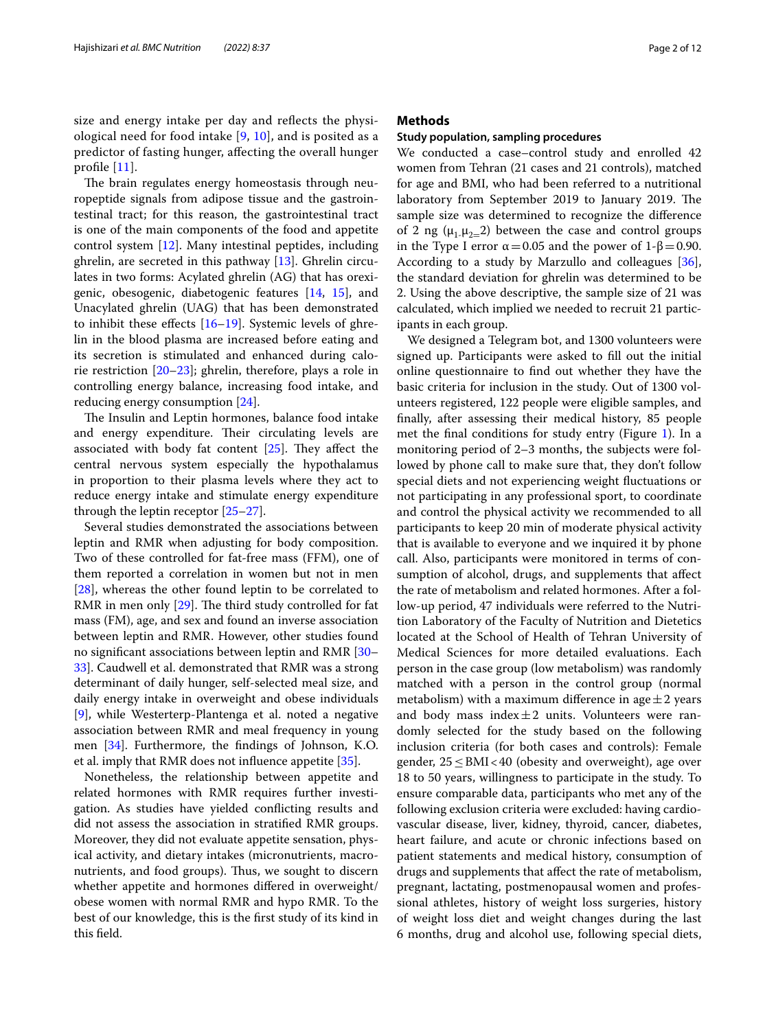size and energy intake per day and refects the physiological need for food intake [\[9](#page-10-5), [10\]](#page-10-6), and is posited as a predictor of fasting hunger, afecting the overall hunger profle [[11\]](#page-10-7).

The brain regulates energy homeostasis through neuropeptide signals from adipose tissue and the gastrointestinal tract; for this reason, the gastrointestinal tract is one of the main components of the food and appetite control system [\[12](#page-10-8)]. Many intestinal peptides, including ghrelin, are secreted in this pathway [\[13](#page-10-9)]. Ghrelin circulates in two forms: Acylated ghrelin (AG) that has orexigenic, obesogenic, diabetogenic features [[14](#page-10-10), [15\]](#page-10-11), and Unacylated ghrelin (UAG) that has been demonstrated to inhibit these effects  $[16–19]$  $[16–19]$  $[16–19]$ . Systemic levels of ghrelin in the blood plasma are increased before eating and its secretion is stimulated and enhanced during calorie restriction [\[20–](#page-10-14)[23\]](#page-10-15); ghrelin, therefore, plays a role in controlling energy balance, increasing food intake, and reducing energy consumption [\[24](#page-10-16)].

The Insulin and Leptin hormones, balance food intake and energy expenditure. Their circulating levels are associated with body fat content  $[25]$  $[25]$ . They affect the central nervous system especially the hypothalamus in proportion to their plasma levels where they act to reduce energy intake and stimulate energy expenditure through the leptin receptor [\[25](#page-10-17)[–27\]](#page-10-18).

Several studies demonstrated the associations between leptin and RMR when adjusting for body composition. Two of these controlled for fat-free mass (FFM), one of them reported a correlation in women but not in men [[28\]](#page-10-19), whereas the other found leptin to be correlated to RMR in men only  $[29]$  $[29]$ . The third study controlled for fat mass (FM), age, and sex and found an inverse association between leptin and RMR. However, other studies found no signifcant associations between leptin and RMR [[30–](#page-10-21) [33\]](#page-10-22). Caudwell et al. demonstrated that RMR was a strong determinant of daily hunger, self-selected meal size, and daily energy intake in overweight and obese individuals [[9\]](#page-10-5), while Westerterp-Plantenga et al. noted a negative association between RMR and meal frequency in young men [[34\]](#page-10-23). Furthermore, the fndings of Johnson, K.O. et al. imply that RMR does not infuence appetite [[35\]](#page-10-24).

Nonetheless, the relationship between appetite and related hormones with RMR requires further investigation. As studies have yielded conficting results and did not assess the association in stratifed RMR groups. Moreover, they did not evaluate appetite sensation, physical activity, and dietary intakes (micronutrients, macronutrients, and food groups). Thus, we sought to discern whether appetite and hormones difered in overweight/ obese women with normal RMR and hypo RMR. To the best of our knowledge, this is the frst study of its kind in this feld.

## **Methods**

## **Study population, sampling procedures**

We conducted a case–control study and enrolled 42 women from Tehran (21 cases and 21 controls), matched for age and BMI, who had been referred to a nutritional laboratory from September 2019 to January 2019. The sample size was determined to recognize the diference of 2 ng ( $\mu_1$ - $\mu_2$ =2) between the case and control groups in the Type I error  $\alpha$  = 0.05 and the power of 1-β = 0.90. According to a study by Marzullo and colleagues [\[36](#page-10-25)], the standard deviation for ghrelin was determined to be 2. Using the above descriptive, the sample size of 21 was calculated, which implied we needed to recruit 21 participants in each group.

We designed a Telegram bot, and 1300 volunteers were signed up. Participants were asked to fll out the initial online questionnaire to fnd out whether they have the basic criteria for inclusion in the study. Out of 1300 volunteers registered, 122 people were eligible samples, and fnally, after assessing their medical history, 85 people met the final conditions for study entry (Figure [1\)](#page-7-0). In a monitoring period of 2–3 months, the subjects were followed by phone call to make sure that, they don't follow special diets and not experiencing weight fuctuations or not participating in any professional sport, to coordinate and control the physical activity we recommended to all participants to keep 20 min of moderate physical activity that is available to everyone and we inquired it by phone call. Also, participants were monitored in terms of consumption of alcohol, drugs, and supplements that afect the rate of metabolism and related hormones. After a follow-up period, 47 individuals were referred to the Nutrition Laboratory of the Faculty of Nutrition and Dietetics located at the School of Health of Tehran University of Medical Sciences for more detailed evaluations. Each person in the case group (low metabolism) was randomly matched with a person in the control group (normal metabolism) with a maximum difference in age  $\pm 2$  years and body mass index $\pm 2$  units. Volunteers were randomly selected for the study based on the following inclusion criteria (for both cases and controls): Female gender,  $25 \leq$ BMI<40 (obesity and overweight), age over 18 to 50 years, willingness to participate in the study. To ensure comparable data, participants who met any of the following exclusion criteria were excluded: having cardiovascular disease, liver, kidney, thyroid, cancer, diabetes, heart failure, and acute or chronic infections based on patient statements and medical history, consumption of drugs and supplements that afect the rate of metabolism, pregnant, lactating, postmenopausal women and professional athletes, history of weight loss surgeries, history of weight loss diet and weight changes during the last 6 months, drug and alcohol use, following special diets,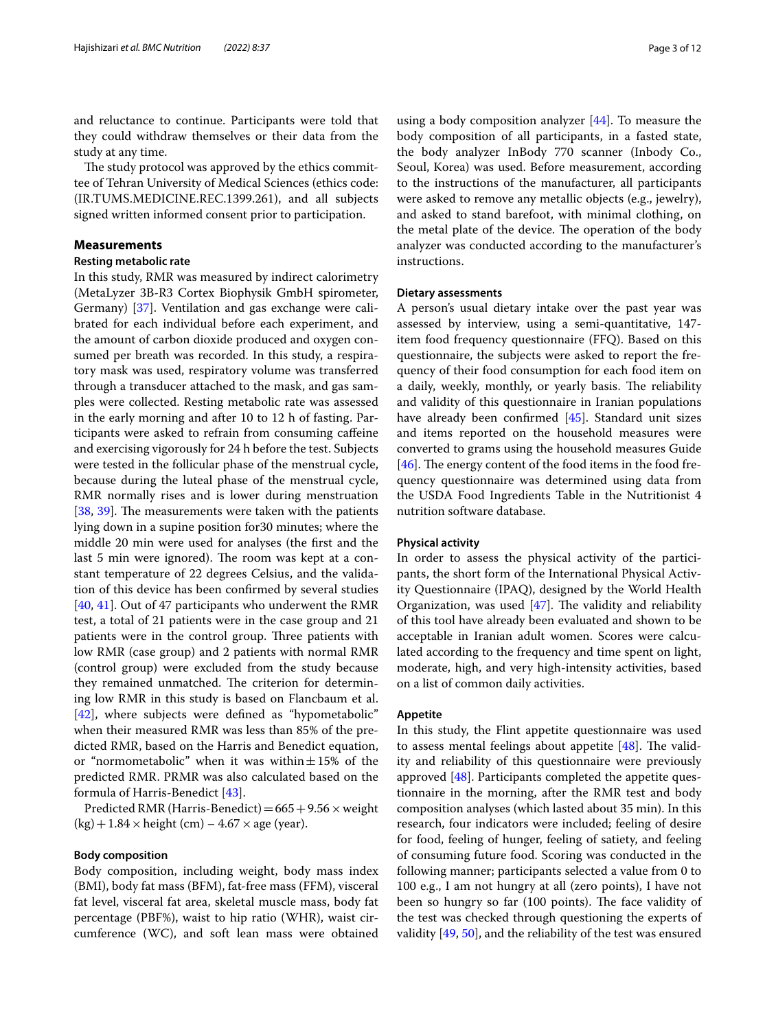and reluctance to continue. Participants were told that they could withdraw themselves or their data from the study at any time.

The study protocol was approved by the ethics committee of Tehran University of Medical Sciences (ethics code: (IR.TUMS.MEDICINE.REC.1399.261), and all subjects signed written informed consent prior to participation.

## **Measurements**

## **Resting metabolic rate**

In this study, RMR was measured by indirect calorimetry (MetaLyzer 3B-R3 Cortex Biophysik GmbH spirometer, Germany) [[37\]](#page-10-26). Ventilation and gas exchange were calibrated for each individual before each experiment, and the amount of carbon dioxide produced and oxygen consumed per breath was recorded. In this study, a respiratory mask was used, respiratory volume was transferred through a transducer attached to the mask, and gas samples were collected. Resting metabolic rate was assessed in the early morning and after 10 to 12 h of fasting. Participants were asked to refrain from consuming cafeine and exercising vigorously for 24 h before the test. Subjects were tested in the follicular phase of the menstrual cycle, because during the luteal phase of the menstrual cycle, RMR normally rises and is lower during menstruation [[38,](#page-10-27) [39\]](#page-11-0). The measurements were taken with the patients lying down in a supine position for30 minutes; where the middle 20 min were used for analyses (the frst and the last 5 min were ignored). The room was kept at a constant temperature of 22 degrees Celsius, and the validation of this device has been confrmed by several studies [[40,](#page-11-1) [41](#page-11-2)]. Out of 47 participants who underwent the RMR test, a total of 21 patients were in the case group and 21 patients were in the control group. Three patients with low RMR (case group) and 2 patients with normal RMR (control group) were excluded from the study because they remained unmatched. The criterion for determining low RMR in this study is based on Flancbaum et al. [[42\]](#page-11-3), where subjects were defned as "hypometabolic" when their measured RMR was less than 85% of the predicted RMR, based on the Harris and Benedict equation, or "normometabolic" when it was within $\pm 15$ % of the predicted RMR. PRMR was also calculated based on the formula of Harris-Benedict [\[43](#page-11-4)].

Predicted RMR (Harris-Benedict) =  $665 + 9.56 \times$  weight  $(kg) + 1.84 \times \text{height (cm)} - 4.67 \times \text{age (year)}.$ 

#### **Body composition**

Body composition, including weight, body mass index (BMI), body fat mass (BFM), fat-free mass (FFM), visceral fat level, visceral fat area, skeletal muscle mass, body fat percentage (PBF%), waist to hip ratio (WHR), waist circumference (WC), and soft lean mass were obtained

using a body composition analyzer [[44](#page-11-5)]. To measure the body composition of all participants, in a fasted state, the body analyzer InBody 770 scanner (Inbody Co., Seoul, Korea) was used. Before measurement, according to the instructions of the manufacturer, all participants were asked to remove any metallic objects (e.g., jewelry), and asked to stand barefoot, with minimal clothing, on the metal plate of the device. The operation of the body analyzer was conducted according to the manufacturer's instructions.

## **Dietary assessments**

A person's usual dietary intake over the past year was assessed by interview, using a semi-quantitative, 147 item food frequency questionnaire (FFQ). Based on this questionnaire, the subjects were asked to report the frequency of their food consumption for each food item on a daily, weekly, monthly, or yearly basis. The reliability and validity of this questionnaire in Iranian populations have already been confrmed [[45](#page-11-6)]. Standard unit sizes and items reported on the household measures were converted to grams using the household measures Guide [ $46$ ]. The energy content of the food items in the food frequency questionnaire was determined using data from the USDA Food Ingredients Table in the Nutritionist 4 nutrition software database.

## **Physical activity**

In order to assess the physical activity of the participants, the short form of the International Physical Activity Questionnaire (IPAQ), designed by the World Health Organization, was used  $[47]$  $[47]$ . The validity and reliability of this tool have already been evaluated and shown to be acceptable in Iranian adult women. Scores were calculated according to the frequency and time spent on light, moderate, high, and very high-intensity activities, based on a list of common daily activities.

## **Appetite**

In this study, the Flint appetite questionnaire was used to assess mental feelings about appetite  $[48]$  $[48]$ . The validity and reliability of this questionnaire were previously approved [[48\]](#page-11-9). Participants completed the appetite questionnaire in the morning, after the RMR test and body composition analyses (which lasted about 35 min). In this research, four indicators were included; feeling of desire for food, feeling of hunger, feeling of satiety, and feeling of consuming future food. Scoring was conducted in the following manner; participants selected a value from 0 to 100 e.g., I am not hungry at all (zero points), I have not been so hungry so far (100 points). The face validity of the test was checked through questioning the experts of validity [\[49,](#page-11-10) [50](#page-11-11)], and the reliability of the test was ensured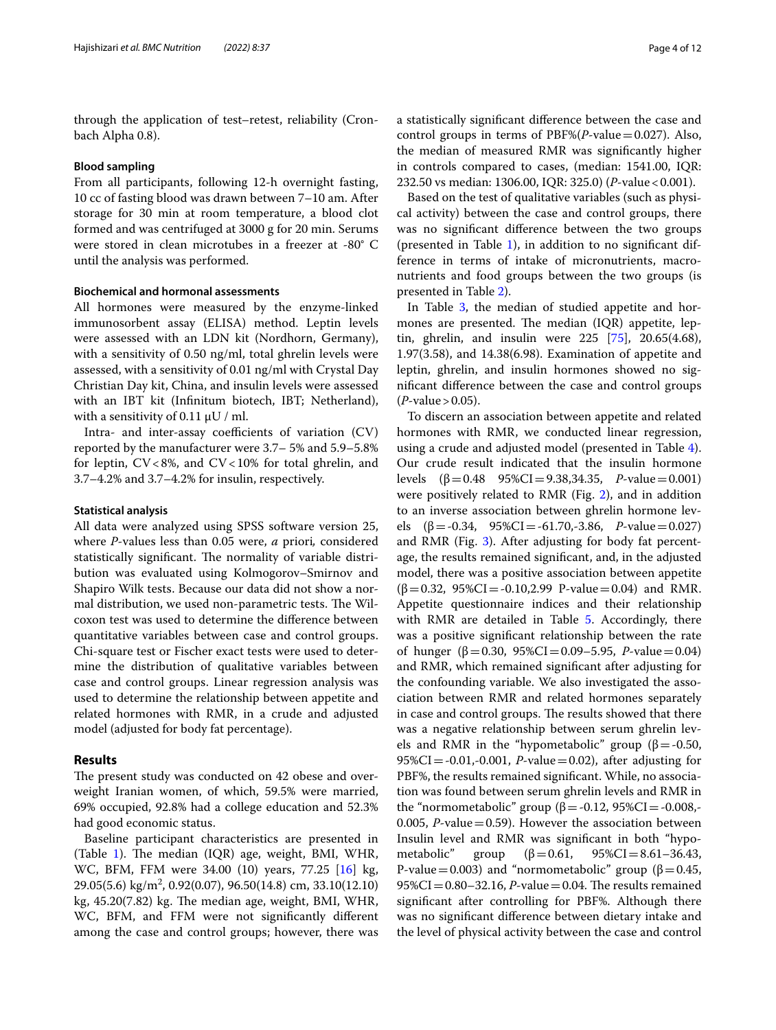through the application of test–retest, reliability (Cronbach Alpha 0.8).

#### **Blood sampling**

From all participants, following 12-h overnight fasting, 10 cc of fasting blood was drawn between 7–10 am. After storage for 30 min at room temperature, a blood clot formed and was centrifuged at 3000 g for 20 min. Serums were stored in clean microtubes in a freezer at -80° C until the analysis was performed.

## **Biochemical and hormonal assessments**

All hormones were measured by the enzyme-linked immunosorbent assay (ELISA) method. Leptin levels were assessed with an LDN kit (Nordhorn, Germany), with a sensitivity of 0.50 ng/ml, total ghrelin levels were assessed, with a sensitivity of 0.01 ng/ml with Crystal Day Christian Day kit, China, and insulin levels were assessed with an IBT kit (Infnitum biotech, IBT; Netherland), with a sensitivity of 0.11  $\mu$ U / ml.

Intra- and inter-assay coefficients of variation  $(CV)$ reported by the manufacturer were 3.7– 5% and 5.9–5.8% for leptin,  $CV < 8\%$ , and  $CV < 10\%$  for total ghrelin, and 3.7–4.2% and 3.7–4.2% for insulin, respectively.

## **Statistical analysis**

All data were analyzed using SPSS software version 25, where *P*-values less than 0.05 were, *a* priori*,* considered statistically significant. The normality of variable distribution was evaluated using Kolmogorov–Smirnov and Shapiro Wilk tests. Because our data did not show a normal distribution, we used non-parametric tests. The Wilcoxon test was used to determine the diference between quantitative variables between case and control groups. Chi-square test or Fischer exact tests were used to determine the distribution of qualitative variables between case and control groups. Linear regression analysis was used to determine the relationship between appetite and related hormones with RMR, in a crude and adjusted model (adjusted for body fat percentage).

## **Results**

The present study was conducted on 42 obese and overweight Iranian women, of which, 59.5% were married, 69% occupied, 92.8% had a college education and 52.3% had good economic status.

Baseline participant characteristics are presented in (Table [1\)](#page-4-0). The median  $(IQR)$  age, weight, BMI, WHR, WC, BFM, FFM were 34.00 (10) years, 77.25 [[16\]](#page-10-12) kg, 29.05(5.6) kg/m2 , 0.92(0.07), 96.50(14.8) cm, 33.10(12.10) kg,  $45.20(7.82)$  kg. The median age, weight, BMI, WHR, WC, BFM, and FFM were not signifcantly diferent among the case and control groups; however, there was

a statistically signifcant diference between the case and control groups in terms of PBF%(*P*-value=0.027). Also, the median of measured RMR was signifcantly higher in controls compared to cases, (median: 1541.00, IQR: 232.50 vs median: 1306.00, IQR: 325.0) (*P*-value<0.001).

Based on the test of qualitative variables (such as physical activity) between the case and control groups, there was no signifcant diference between the two groups (presented in Table [1\)](#page-4-0), in addition to no signifcant difference in terms of intake of micronutrients, macronutrients and food groups between the two groups (is presented in Table [2](#page-5-0)).

In Table [3](#page-5-1), the median of studied appetite and hormones are presented. The median (IQR) appetite, leptin, ghrelin, and insulin were 225 [\[75](#page-11-12)], 20.65(4.68), 1.97(3.58), and 14.38(6.98). Examination of appetite and leptin, ghrelin, and insulin hormones showed no signifcant diference between the case and control groups (*P*-value>0.05).

To discern an association between appetite and related hormones with RMR, we conducted linear regression, using a crude and adjusted model (presented in Table [4](#page-6-0)). Our crude result indicated that the insulin hormone levels  $(β=0.48 \ 95%CI=9.38,34.35, P-value=0.001)$ were positively related to RMR (Fig. [2](#page-8-0)), and in addition to an inverse association between ghrelin hormone levels  $(\beta = -0.34, 95\% CI = -61.70, -3.86, P-value = 0.027)$ and RMR (Fig. [3](#page-8-1)). After adjusting for body fat percentage, the results remained signifcant, and, in the adjusted model, there was a positive association between appetite  $(\beta=0.32, 95\%CI = -0.10, 2.99 \text{ P-value} = 0.04)$  and RMR. Appetite questionnaire indices and their relationship with RMR are detailed in Table [5](#page-9-0). Accordingly, there was a positive signifcant relationship between the rate of hunger (β=0.30, 95%CI=0.09–5.95, *P*-value=0.04) and RMR, which remained signifcant after adjusting for the confounding variable. We also investigated the association between RMR and related hormones separately in case and control groups. The results showed that there was a negative relationship between serum ghrelin levels and RMR in the "hypometabolic" group (β = -0.50, 95%CI=-0.01,-0.001, *P*-value=0.02), after adjusting for PBF%, the results remained signifcant. While, no association was found between serum ghrelin levels and RMR in the "normometabolic" group (β = -0.12, 95%CI = -0.008,-0.005,  $P$ -value = 0.59). However the association between Insulin level and RMR was signifcant in both "hypometabolic" group  $(\beta = 0.61, 95\% \text{CI} = 8.61 - 36.43,$ P-value=0.003) and "normometabolic" group ( $\beta$ =0.45,  $95\%CI = 0.80 - 32.16$ , *P*-value = 0.04. The results remained signifcant after controlling for PBF%. Although there was no signifcant diference between dietary intake and the level of physical activity between the case and control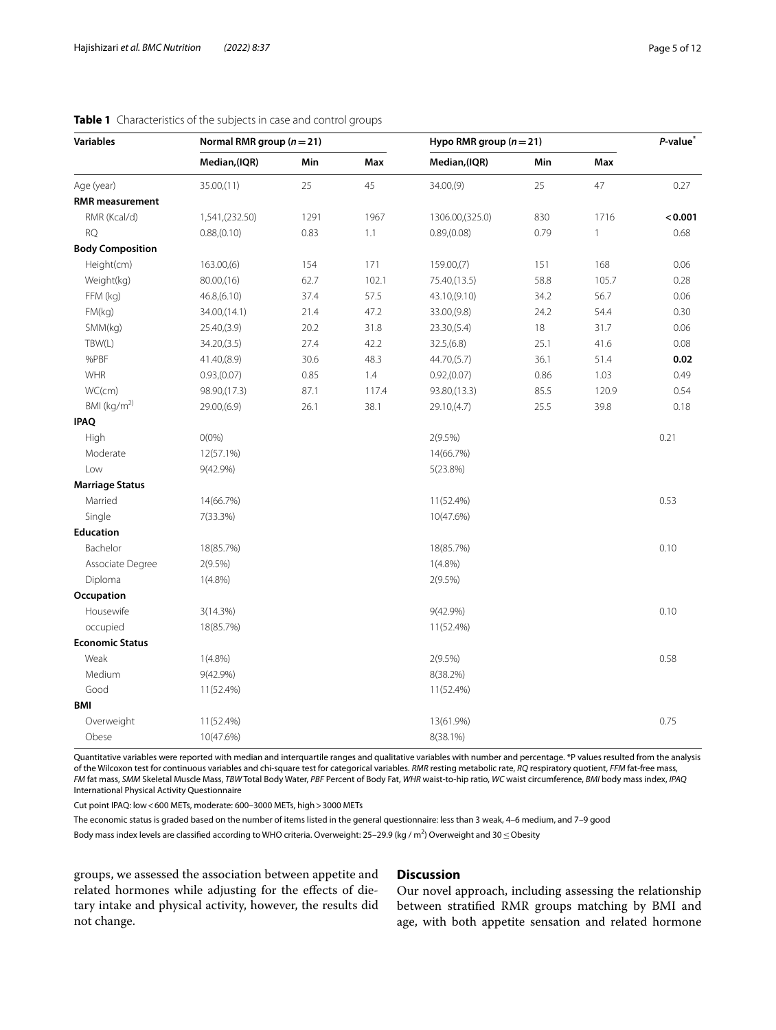| <b>Variables</b>        | Normal RMR group $(n=21)$ |      |       | Hypo RMR group $(n=21)$ |      |              | P-value <sup>*</sup> |
|-------------------------|---------------------------|------|-------|-------------------------|------|--------------|----------------------|
|                         | Median, (IQR)             | Min  | Max   | Median, (IQR)           | Min  | Max          |                      |
| Age (year)              | 35.00(11)                 | 25   | 45    | 34.00(9)                | 25   | 47           | 0.27                 |
| <b>RMR</b> measurement  |                           |      |       |                         |      |              |                      |
| RMR (Kcal/d)            | 1,541, (232.50)           | 1291 | 1967  | 1306.00, (325.0)        | 830  | 1716         | < 0.001              |
| <b>RQ</b>               | 0.88(0.10)                | 0.83 | 1.1   | 0.89(0.08)              | 0.79 | $\mathbf{1}$ | 0.68                 |
| <b>Body Composition</b> |                           |      |       |                         |      |              |                      |
| Height(cm)              | 163.00(6)                 | 154  | 171   | 159.00(7)               | 151  | 168          | 0.06                 |
| Weight(kg)              | 80.00(16)                 | 62.7 | 102.1 | 75.40, (13.5)           | 58.8 | 105.7        | 0.28                 |
| FFM (kg)                | 46.8(6.10)                | 37.4 | 57.5  | 43.10, (9.10)           | 34.2 | 56.7         | 0.06                 |
| FM(kg)                  | 34.00, (14.1)             | 21.4 | 47.2  | 33.00, (9.8)            | 24.2 | 54.4         | 0.30                 |
| SMM(kg)                 | 25.40(3.9)                | 20.2 | 31.8  | 23.30(5.4)              | 18   | 31.7         | 0.06                 |
| TBW(L)                  | 34.20, (3.5)              | 27.4 | 42.2  | 32.5(6.8)               | 25.1 | 41.6         | 0.08                 |
| %PBF                    | 41.40(8.9)                | 30.6 | 48.3  | 44.70(5.7)              | 36.1 | 51.4         | 0.02                 |
| WHR                     | 0.93(0.07)                | 0.85 | 1.4   | 0.92(0.07)              | 0.86 | 1.03         | 0.49                 |
| WC(cm)                  | 98.90, (17.3)             | 87.1 | 117.4 | 93.80, (13.3)           | 85.5 | 120.9        | 0.54                 |
| BMI (kg/m <sup>2)</sup> | 29.00, (6.9)              | 26.1 | 38.1  | 29.10, (4.7)            | 25.5 | 39.8         | 0.18                 |
| <b>IPAQ</b>             |                           |      |       |                         |      |              |                      |
| High                    | $O(0\%)$                  |      |       | 2(9.5%)                 |      |              | 0.21                 |
| Moderate                | 12(57.1%)                 |      |       | 14(66.7%)               |      |              |                      |
| Low                     | 9(42.9%)                  |      |       | 5(23.8%)                |      |              |                      |
| <b>Marriage Status</b>  |                           |      |       |                         |      |              |                      |
| Married                 | 14(66.7%)                 |      |       | 11(52.4%)               |      |              | 0.53                 |
| Single                  | 7(33.3%)                  |      |       | 10(47.6%)               |      |              |                      |
| <b>Education</b>        |                           |      |       |                         |      |              |                      |
| Bachelor                | 18(85.7%)                 |      |       | 18(85.7%)               |      |              | 0.10                 |
| Associate Degree        | 2(9.5%)                   |      |       | $1(4.8\%)$              |      |              |                      |
| Diploma                 | $1(4.8\%)$                |      |       | 2(9.5%)                 |      |              |                      |
| Occupation              |                           |      |       |                         |      |              |                      |
| Housewife               | 3(14.3%)                  |      |       | $9(42.9\%)$             |      |              | 0.10                 |
| occupied                | 18(85.7%)                 |      |       | 11(52.4%)               |      |              |                      |
| <b>Economic Status</b>  |                           |      |       |                         |      |              |                      |
| Weak                    | $1(4.8\%)$                |      |       | 2(9.5%)                 |      |              | 0.58                 |
| Medium                  | $9(42.9\%)$               |      |       | 8(38.2%)                |      |              |                      |
| Good                    | 11(52.4%)                 |      |       | 11(52.4%)               |      |              |                      |
| <b>BMI</b>              |                           |      |       |                         |      |              |                      |
| Overweight              | 11(52.4%)                 |      |       | 13(61.9%)               |      |              | 0.75                 |
| Obese                   | 10(47.6%)                 |      |       | 8(38.1%)                |      |              |                      |

## <span id="page-4-0"></span>**Table 1** Characteristics of the subjects in case and control groups

Quantitative variables were reported with median and interquartile ranges and qualitative variables with number and percentage. \*P values resulted from the analysis of the Wilcoxon test for continuous variables and chi-square test for categorical variables. *RMR* resting metabolic rate, *RQ* respiratory quotient, *FFM* fat-free mass, *FM* fat mass, *SMM* Skeletal Muscle Mass, *TBW* Total Body Water, *PBF* Percent of Body Fat, *WHR* waist-to-hip ratio, *WC* waist circumference, *BMI* body mass index, *IPAQ* International Physical Activity Questionnaire

Cut point IPAQ: low<600 METs, moderate: 600–3000 METs, high>3000 METs

The economic status is graded based on the number of items listed in the general questionnaire: less than 3 weak, 4–6 medium, and 7–9 good

Body mass index levels are classified according to WHO criteria. Overweight: 25–29.9 (kg / m<sup>2</sup>) Overweight and 30 ≤ Obesity

groups, we assessed the association between appetite and related hormones while adjusting for the efects of dietary intake and physical activity, however, the results did not change.

## **Discussion**

Our novel approach, including assessing the relationship between stratifed RMR groups matching by BMI and age, with both appetite sensation and related hormone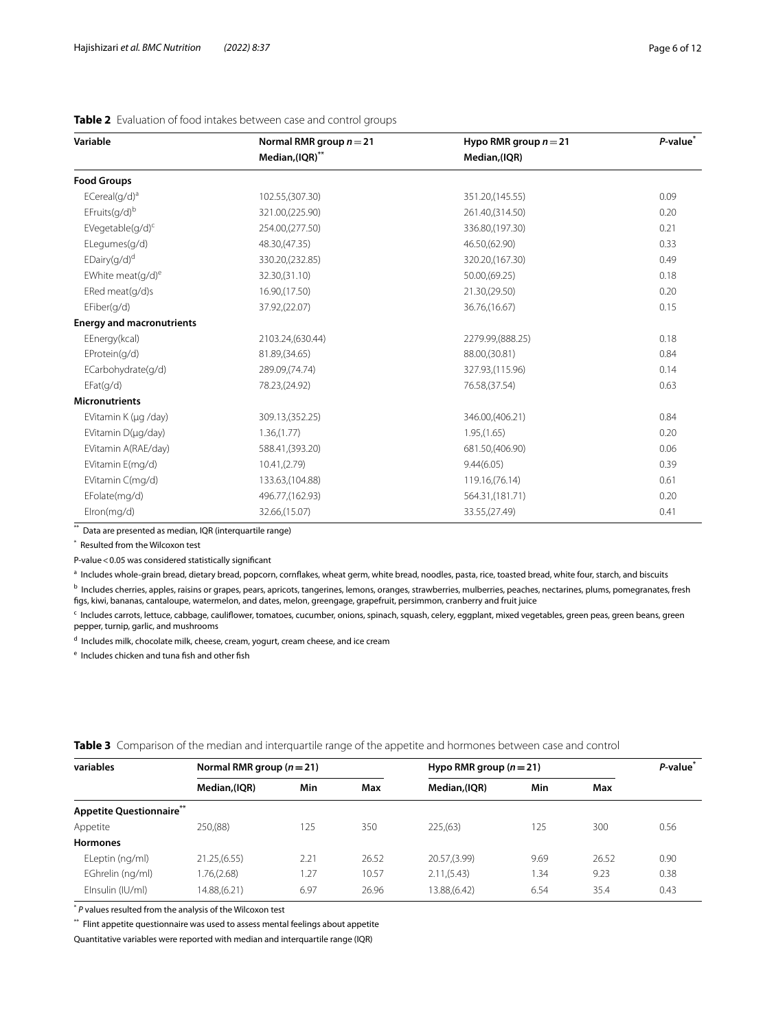<span id="page-5-0"></span>

| Table 2 Evaluation of food intakes between case and control groups |  |
|--------------------------------------------------------------------|--|
|--------------------------------------------------------------------|--|

| Variable                                 | Normal RMR group $n = 21$ | Hypo RMR group $n = 21$ | P-value <sup>*</sup> |  |
|------------------------------------------|---------------------------|-------------------------|----------------------|--|
|                                          | Median,(IQR)**            | Median, (IQR)           |                      |  |
| <b>Food Groups</b>                       |                           |                         |                      |  |
| ECereal(g/d) <sup>a</sup>                | 102.55, (307.30)          | 351.20, (145.55)        | 0.09                 |  |
| EFruits(g/d)b                            | 321.00, (225.90)          | 261.40, (314.50)        | 0.20                 |  |
| EVegetable( $q/d$ ) <sup>c</sup>         | 254.00, (277.50)          | 336.80, (197.30)        | 0.21                 |  |
| ELegumes(g/d)                            | 48.30, (47.35)            | 46.50, (62.90)          | 0.33                 |  |
| $E_{\text{Dairy}(q/d)^d}$                | 330.20, (232.85)          | 320.20, (167.30)        | 0.49                 |  |
| EWhite meat $(q/d)^e$                    | 32.30, (31.10)            | 50.00, (69.25)          | 0.18                 |  |
| ERed meat(g/d)s                          | 16.90, (17.50)            | 21.30, (29.50)          | 0.20                 |  |
| EFiber(q/d)                              | 37.92,(22.07)             | 36.76, (16.67)          | 0.15                 |  |
| <b>Energy and macronutrients</b>         |                           |                         |                      |  |
| EEnergy(kcal)                            | 2103.24, (630.44)         | 2279.99, (888.25)       | 0.18                 |  |
| EProtein(q/d)                            | 81.89, (34.65)            | 88.00, (30.81)          | 0.84                 |  |
| ECarbohydrate(g/d)                       | 289.09, (74.74)           | 327.93, (115.96)        | 0.14                 |  |
| EFact(q/d)                               | 78.23, (24.92)            | 76.58, (37.54)          | 0.63                 |  |
| <b>Micronutrients</b>                    |                           |                         |                      |  |
| EVitamin K (µg /day)<br>309.13, (352.25) |                           | 346.00, (406.21)        | 0.84                 |  |
| EVitamin D(µg/day)                       | 1.36(1.77)                | 1.95(1.65)              | 0.20                 |  |
| EVitamin A(RAE/day)                      | 588.41, (393.20)          | 681.50, (406.90)        | 0.06                 |  |
| EVitamin E(mg/d)                         | 10.41(2.79)               | 9.44(6.05)              | 0.39                 |  |
| EVitamin C(mg/d)                         | 133.63, (104.88)          | 119.16, (76.14)         | 0.61                 |  |
| EFolate(mg/d)                            | 496.77, (162.93)          | 564.31, (181.71)        | 0.20                 |  |
| Elron(mg/d)<br>32.66, (15.07)            |                           | 33.55, (27.49)          | 0.41                 |  |

\*\* Data are presented as median, IQR (interquartile range)

\* Resulted from the Wilcoxon test

P-value<0.05 was considered statistically signifcant

a Includes whole-grain bread, dietary bread, popcorn, cornflakes, wheat germ, white bread, noodles, pasta, rice, toasted bread, white four, starch, and biscuits

<sup>b</sup> Includes cherries, apples, raisins or grapes, pears, apricots, tangerines, lemons, oranges, strawberries, mulberries, peaches, nectarines, plums, pomegranates, fresh fgs, kiwi, bananas, cantaloupe, watermelon, and dates, melon, greengage, grapefruit, persimmon, cranberry and fruit juice

<sup>c</sup> Includes carrots, lettuce, cabbage, cauliflower, tomatoes, cucumber, onions, spinach, squash, celery, eggplant, mixed vegetables, green peas, green beans, green pepper, turnip, garlic, and mushrooms

<sup>d</sup> Includes milk, chocolate milk, cheese, cream, yogurt, cream cheese, and ice cream

<sup>e</sup> Includes chicken and tuna fish and other fish

| variables                | Normal RMR group $(n=21)$ |      |       | Hypo RMR group $(n=21)$ |      |       | P-value <sup>®</sup> |
|--------------------------|---------------------------|------|-------|-------------------------|------|-------|----------------------|
|                          | Median, (IQR)             | Min  | Max   | Median,(IQR)            | Min  | Max   |                      |
| Appetite Questionnaire** |                           |      |       |                         |      |       |                      |
| Appetite                 | 250, (88)                 | 125  | 350   | 225(63)                 | 125  | 300   | 0.56                 |
| <b>Hormones</b>          |                           |      |       |                         |      |       |                      |
| ELeptin (ng/ml)          | 21.25, (6.55)             | 2.21 | 26.52 | 20.57, (3.99)           | 9.69 | 26.52 | 0.90                 |
| EGhrelin (ng/ml)         | 1.76, (2.68)              | 1.27 | 10.57 | 2.11(5.43)              | 1.34 | 9.23  | 0.38                 |
| Elnsulin (IU/ml)         | 14.88, (6.21)             | 6.97 | 26.96 | 3.88(6.42)              | 6.54 | 35.4  | 0.43                 |

<span id="page-5-1"></span>**Table 3** Comparison of the median and interquartile range of the appetite and hormones between case and control

\* *P* values resulted from the analysis of the Wilcoxon test

\*\* Flint appetite questionnaire was used to assess mental feelings about appetite

Quantitative variables were reported with median and interquartile range (IQR)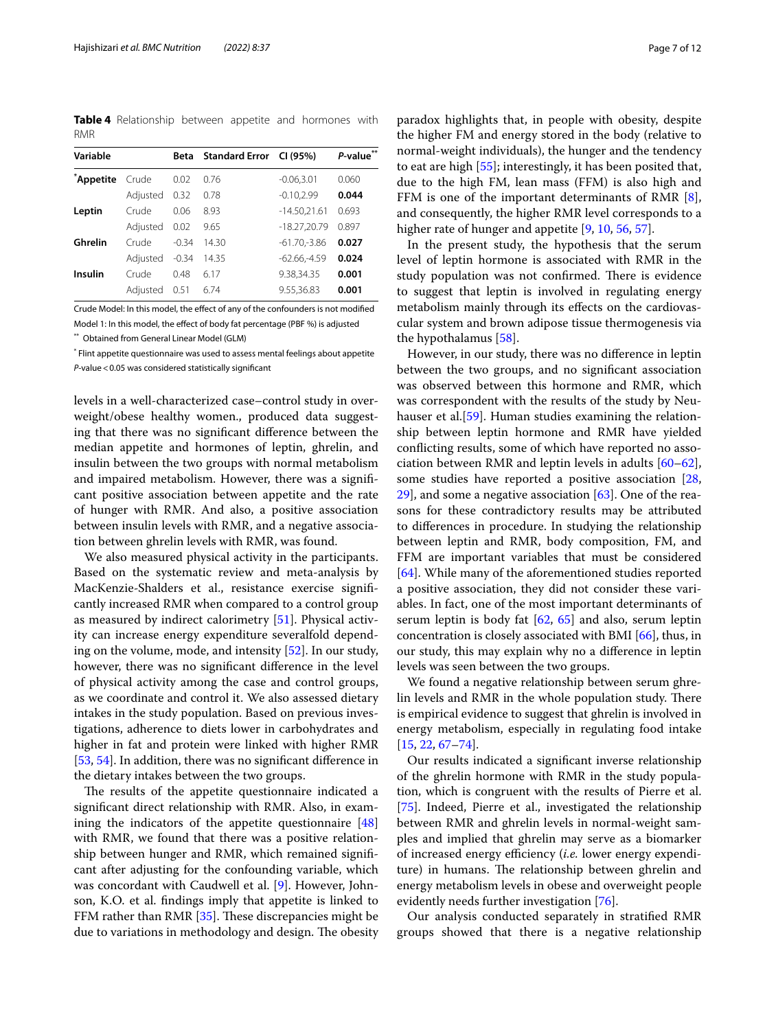<span id="page-6-0"></span>**Table 4** Relationship between appetite and hormones with RMR

| Variable  |          | Beta    | <b>Standard Error</b> | CI (95%)        | $**$<br>P-value |
|-----------|----------|---------|-----------------------|-----------------|-----------------|
| *Appetite | Crude    | 0.02    | 0.76                  | $-0.06, 3.01$   | 0.060           |
|           | Adjusted | 0.32    | 0.78                  | $-0.10, 2.99$   | 0.044           |
| Leptin    | Crude    | 0.06    | 8.93                  | $-14.50,21.61$  | 0.693           |
|           | Adjusted | 0.02    | 9.65                  | $-18.27,20.79$  | 0.897           |
| Ghrelin   | Crude    | $-0.34$ | 14.30                 | $-61.70 - 3.86$ | 0.027           |
|           | Adjusted | $-0.34$ | 14.35                 | $-62.66 - 4.59$ | 0.024           |
| Insulin   | Crude    | 0.48    | 6.17                  | 9.38,34.35      | 0.001           |
|           | Adiusted | 0.51    | 6.74                  | 9.55.36.83      | 0.001           |

Crude Model: In this model, the efect of any of the confounders is not modifed Model 1: In this model, the efect of body fat percentage (PBF %) is adjusted

\*\* Obtained from General Linear Model (GLM)

\* Flint appetite questionnaire was used to assess mental feelings about appetite *P*-value<0.05 was considered statistically signifcant

levels in a well-characterized case–control study in overweight/obese healthy women., produced data suggesting that there was no signifcant diference between the median appetite and hormones of leptin, ghrelin, and insulin between the two groups with normal metabolism and impaired metabolism. However, there was a signifcant positive association between appetite and the rate of hunger with RMR. And also, a positive association between insulin levels with RMR, and a negative association between ghrelin levels with RMR, was found.

We also measured physical activity in the participants. Based on the systematic review and meta-analysis by MacKenzie-Shalders et al., resistance exercise signifcantly increased RMR when compared to a control group as measured by indirect calorimetry [[51\]](#page-11-13). Physical activity can increase energy expenditure severalfold depending on the volume, mode, and intensity [\[52](#page-11-14)]. In our study, however, there was no signifcant diference in the level of physical activity among the case and control groups, as we coordinate and control it. We also assessed dietary intakes in the study population. Based on previous investigations, adherence to diets lower in carbohydrates and higher in fat and protein were linked with higher RMR [[53,](#page-11-15) [54](#page-11-16)]. In addition, there was no signifcant diference in the dietary intakes between the two groups.

The results of the appetite questionnaire indicated a signifcant direct relationship with RMR. Also, in examining the indicators of the appetite questionnaire [[48](#page-11-9)] with RMR, we found that there was a positive relationship between hunger and RMR, which remained signifcant after adjusting for the confounding variable, which was concordant with Caudwell et al. [\[9](#page-10-5)]. However, Johnson, K.O. et al. fndings imply that appetite is linked to FFM rather than RMR  $[35]$  $[35]$ . These discrepancies might be due to variations in methodology and design. The obesity

paradox highlights that, in people with obesity, despite the higher FM and energy stored in the body (relative to normal-weight individuals), the hunger and the tendency to eat are high [[55](#page-11-17)]; interestingly, it has been posited that, due to the high FM, lean mass (FFM) is also high and FFM is one of the important determinants of RMR [\[8](#page-10-4)], and consequently, the higher RMR level corresponds to a higher rate of hunger and appetite [\[9](#page-10-5), [10,](#page-10-6) [56,](#page-11-18) [57](#page-11-19)].

In the present study, the hypothesis that the serum level of leptin hormone is associated with RMR in the study population was not confirmed. There is evidence to suggest that leptin is involved in regulating energy metabolism mainly through its efects on the cardiovascular system and brown adipose tissue thermogenesis via the hypothalamus [\[58](#page-11-20)].

However, in our study, there was no diference in leptin between the two groups, and no signifcant association was observed between this hormone and RMR, which was correspondent with the results of the study by Neu-hauser et al.<sup>[\[59\]](#page-11-21)</sup>. Human studies examining the relationship between leptin hormone and RMR have yielded conficting results, some of which have reported no association between RMR and leptin levels in adults [[60](#page-11-22)[–62](#page-11-23)], some studies have reported a positive association [[28](#page-10-19), [29\]](#page-10-20), and some a negative association [[63](#page-11-24)]. One of the reasons for these contradictory results may be attributed to diferences in procedure. In studying the relationship between leptin and RMR, body composition, FM, and FFM are important variables that must be considered [[64\]](#page-11-25). While many of the aforementioned studies reported a positive association, they did not consider these variables. In fact, one of the most important determinants of serum leptin is body fat  $[62, 65]$  $[62, 65]$  $[62, 65]$  $[62, 65]$  $[62, 65]$  and also, serum leptin concentration is closely associated with BMI [[66\]](#page-11-27), thus, in our study, this may explain why no a diference in leptin levels was seen between the two groups.

We found a negative relationship between serum ghrelin levels and RMR in the whole population study. There is empirical evidence to suggest that ghrelin is involved in energy metabolism, especially in regulating food intake [[15,](#page-10-11) [22](#page-10-28), [67–](#page-11-28)[74](#page-11-29)].

Our results indicated a signifcant inverse relationship of the ghrelin hormone with RMR in the study population, which is congruent with the results of Pierre et al. [[75\]](#page-11-12). Indeed, Pierre et al., investigated the relationship between RMR and ghrelin levels in normal-weight samples and implied that ghrelin may serve as a biomarker of increased energy efficiency (*i.e.* lower energy expenditure) in humans. The relationship between ghrelin and energy metabolism levels in obese and overweight people evidently needs further investigation [[76](#page-11-30)].

Our analysis conducted separately in stratifed RMR groups showed that there is a negative relationship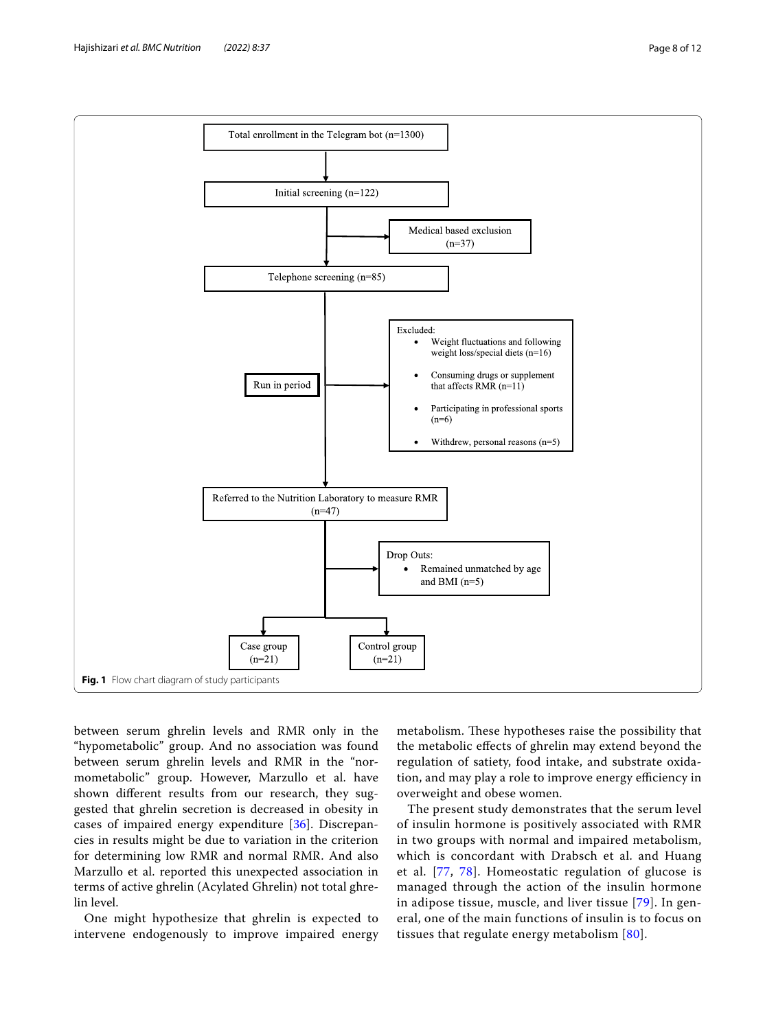

<span id="page-7-0"></span>between serum ghrelin levels and RMR only in the "hypometabolic" group. And no association was found between serum ghrelin levels and RMR in the "normometabolic" group. However, Marzullo et al. have shown diferent results from our research, they suggested that ghrelin secretion is decreased in obesity in cases of impaired energy expenditure [\[36](#page-10-25)]. Discrepancies in results might be due to variation in the criterion for determining low RMR and normal RMR. And also Marzullo et al. reported this unexpected association in terms of active ghrelin (Acylated Ghrelin) not total ghrelin level.

One might hypothesize that ghrelin is expected to intervene endogenously to improve impaired energy

metabolism. These hypotheses raise the possibility that the metabolic efects of ghrelin may extend beyond the regulation of satiety, food intake, and substrate oxidation, and may play a role to improve energy efficiency in overweight and obese women.

The present study demonstrates that the serum level of insulin hormone is positively associated with RMR in two groups with normal and impaired metabolism, which is concordant with Drabsch et al. and Huang et al. [\[77,](#page-11-31) [78](#page-11-32)]. Homeostatic regulation of glucose is managed through the action of the insulin hormone in adipose tissue, muscle, and liver tissue [[79](#page-11-33)]. In general, one of the main functions of insulin is to focus on tissues that regulate energy metabolism [[80](#page-11-34)].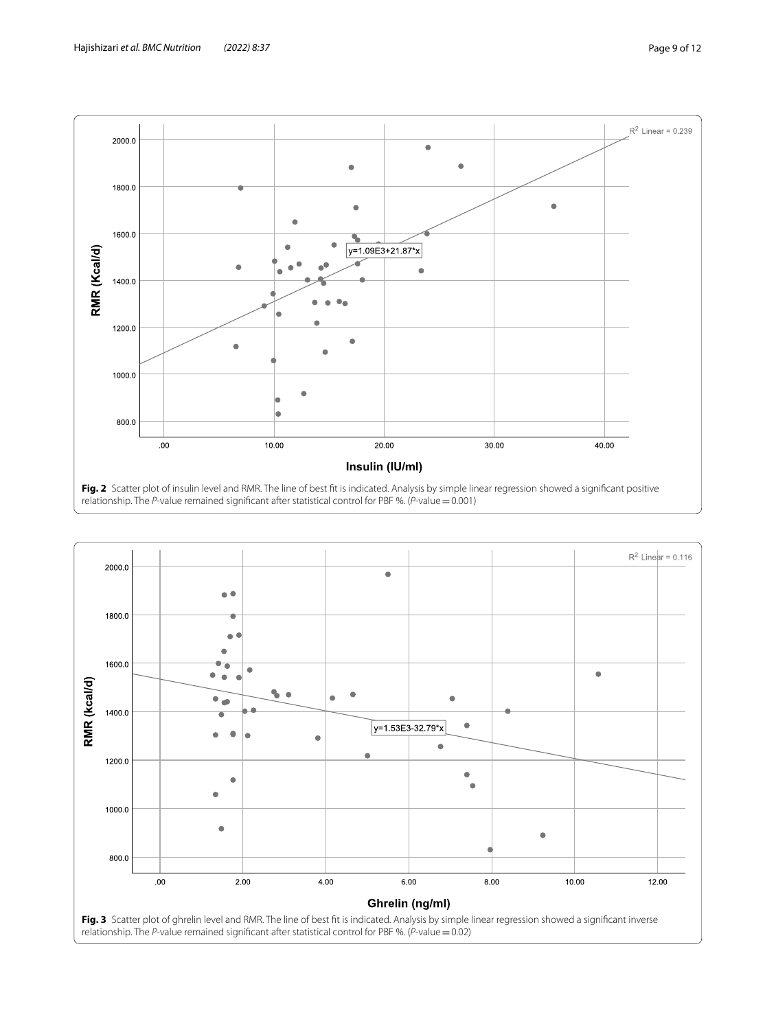

<span id="page-8-1"></span><span id="page-8-0"></span>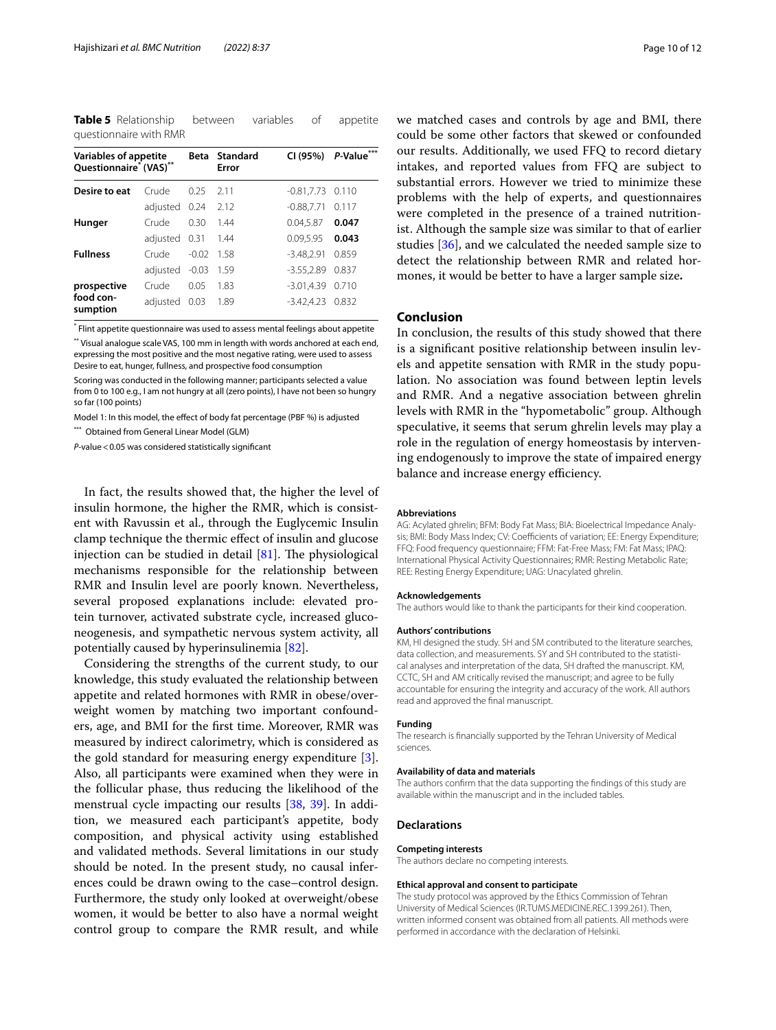<span id="page-9-0"></span>**Table 5** Relationship between variables of appetite questionnaire with RMR

| <b>Variables of appetite</b><br>Questionnaire <sup>*</sup> (VAS) <sup>**</sup> | Beta           | Standard<br>Error | CI (95%) | P-Value***          |       |
|--------------------------------------------------------------------------------|----------------|-------------------|----------|---------------------|-------|
| Desire to eat                                                                  | Crude          | 025               | 2 1 1    | $-0.81, 7.73$ 0.110 |       |
|                                                                                | adjusted 0.24  |                   | 2.12     | $-0.88,7.71$        | 0.117 |
| Hunger                                                                         | Crude          | 0.30              | 1.44     | 0.04,5.87           | 0.047 |
|                                                                                | adjusted 0.31  |                   | - 1.44   | 0.09,5.95           | 0.043 |
| <b>Fullness</b>                                                                | Crude          | $-0.02$           | 1.58     | $-3.48,2.91$        | 0.859 |
|                                                                                | adjusted -0.03 |                   | 1.59     | $-3.55,2.89$        | 0.837 |
| prospective                                                                    | Crude          | 0.05              | 1.83     | $-3.01, 4.39$       | 0.710 |
| food con-<br>sumption                                                          | adjusted 0.03  |                   | - 1.89   | $-3.42, 4.23$ 0.832 |       |

\* Flint appetite questionnaire was used to assess mental feelings about appetite

\*\* Visual analogue scale VAS, 100 mm in length with words anchored at each end, expressing the most positive and the most negative rating, were used to assess Desire to eat, hunger, fullness, and prospective food consumption

Scoring was conducted in the following manner; participants selected a value from 0 to 100 e.g., I am not hungry at all (zero points), I have not been so hungry so far (100 points)

Model 1: In this model, the efect of body fat percentage (PBF %) is adjusted

\*\*\* Obtained from General Linear Model (GLM)

*P*-value<0.05 was considered statistically signifcant

In fact, the results showed that, the higher the level of insulin hormone, the higher the RMR, which is consistent with Ravussin et al., through the Euglycemic Insulin clamp technique the thermic efect of insulin and glucose injection can be studied in detail  $[81]$ . The physiological mechanisms responsible for the relationship between RMR and Insulin level are poorly known. Nevertheless, several proposed explanations include: elevated protein turnover, activated substrate cycle, increased gluconeogenesis, and sympathetic nervous system activity, all potentially caused by hyperinsulinemia [[82](#page-11-36)].

Considering the strengths of the current study, to our knowledge, this study evaluated the relationship between appetite and related hormones with RMR in obese/overweight women by matching two important confounders, age, and BMI for the frst time. Moreover, RMR was measured by indirect calorimetry, which is considered as the gold standard for measuring energy expenditure [\[3](#page-10-2)]. Also, all participants were examined when they were in the follicular phase, thus reducing the likelihood of the menstrual cycle impacting our results [\[38](#page-10-27), [39\]](#page-11-0). In addition, we measured each participant's appetite, body composition, and physical activity using established and validated methods. Several limitations in our study should be noted. In the present study, no causal inferences could be drawn owing to the case–control design. Furthermore, the study only looked at overweight/obese women, it would be better to also have a normal weight control group to compare the RMR result, and while we matched cases and controls by age and BMI, there could be some other factors that skewed or confounded our results. Additionally, we used FFQ to record dietary intakes, and reported values from FFQ are subject to substantial errors. However we tried to minimize these problems with the help of experts, and questionnaires were completed in the presence of a trained nutritionist. Although the sample size was similar to that of earlier studies [\[36\]](#page-10-25), and we calculated the needed sample size to detect the relationship between RMR and related hormones, it would be better to have a larger sample size**.**

## **Conclusion**

In conclusion, the results of this study showed that there is a signifcant positive relationship between insulin levels and appetite sensation with RMR in the study population. No association was found between leptin levels and RMR. And a negative association between ghrelin levels with RMR in the "hypometabolic" group. Although speculative, it seems that serum ghrelin levels may play a role in the regulation of energy homeostasis by intervening endogenously to improve the state of impaired energy balance and increase energy efficiency.

#### **Abbreviations**

AG: Acylated ghrelin; BFM: Body Fat Mass; BIA: Bioelectrical Impedance Analysis: BMI: Body Mass Index: CV: Coefficients of variation: FE: Energy Expenditure; FFQ: Food frequency questionnaire; FFM: Fat-Free Mass; FM: Fat Mass; IPAQ: International Physical Activity Questionnaires; RMR: Resting Metabolic Rate; REE: Resting Energy Expenditure; UAG: Unacylated ghrelin.

#### **Acknowledgements**

The authors would like to thank the participants for their kind cooperation.

#### **Authors' contributions**

KM, HI designed the study. SH and SM contributed to the literature searches, data collection, and measurements. SY and SH contributed to the statistical analyses and interpretation of the data, SH drafted the manuscript. KM, CCTC, SH and AM critically revised the manuscript; and agree to be fully accountable for ensuring the integrity and accuracy of the work. All authors read and approved the fnal manuscript.

#### **Funding**

The research is fnancially supported by the Tehran University of Medical sciences.

#### **Availability of data and materials**

The authors confrm that the data supporting the fndings of this study are available within the manuscript and in the included tables.

#### **Declarations**

#### **Competing interests**

The authors declare no competing interests.

#### **Ethical approval and consent to participate**

The study protocol was approved by the Ethics Commission of Tehran University of Medical Sciences (IR.TUMS.MEDICINE.REC.1399.261). Then, written informed consent was obtained from all patients. All methods were performed in accordance with the declaration of Helsinki.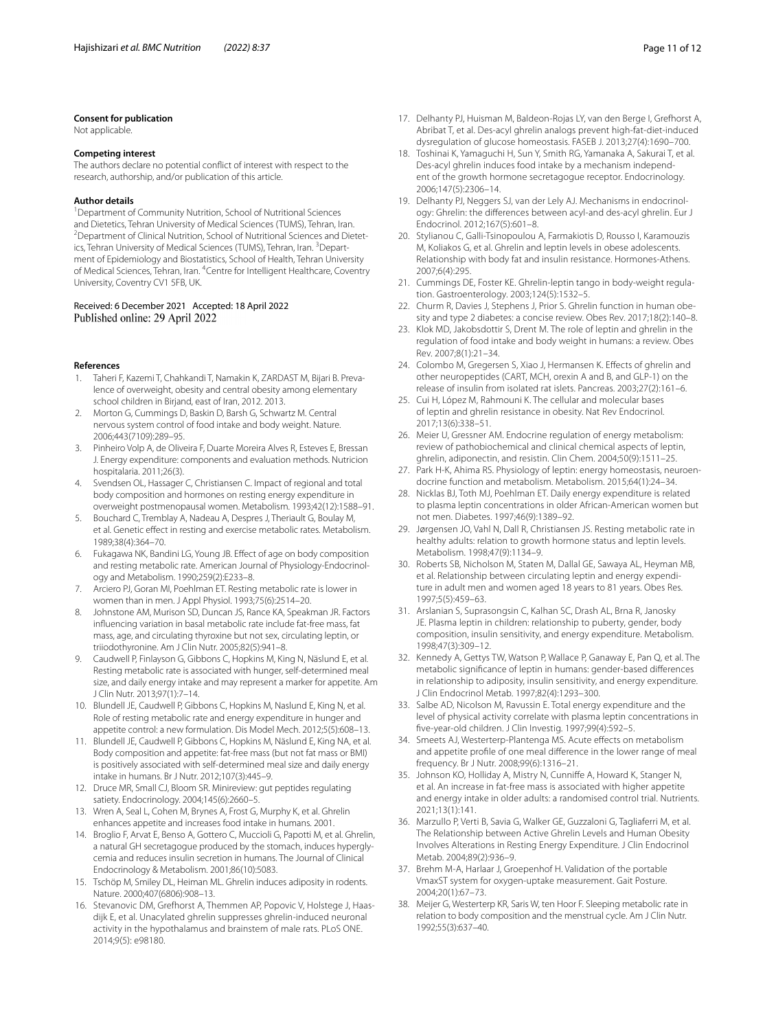#### **Consent for publication**

Not applicable.

#### **Competing interest**

The authors declare no potential confict of interest with respect to the research, authorship, and/or publication of this article.

#### **Author details**

<sup>1</sup> Department of Community Nutrition, School of Nutritional Sciences and Dietetics, Tehran University of Medical Sciences (TUMS), Tehran, Iran. 2 <sup>2</sup> Department of Clinical Nutrition, School of Nutritional Sciences and Dietetics, Tehran University of Medical Sciences (TUMS), Tehran, Iran. <sup>3</sup>Department of Epidemiology and Biostatistics, School of Health, Tehran University of Medical Sciences, Tehran, Iran. <sup>4</sup> Centre for Intelligent Healthcare, Coventry University, Coventry CV1 5FB, UK.

## Received: 6 December 2021 Accepted: 18 April 2022 Published online: 29 April 2022

#### **References**

- <span id="page-10-0"></span>Taheri F, Kazemi T, Chahkandi T, Namakin K, ZARDAST M, Bijari B. Prevalence of overweight, obesity and central obesity among elementary school children in Birjand, east of Iran, 2012. 2013.
- <span id="page-10-1"></span>2. Morton G, Cummings D, Baskin D, Barsh G, Schwartz M. Central nervous system control of food intake and body weight. Nature. 2006;443(7109):289–95.
- <span id="page-10-2"></span>3. Pinheiro Volp A, de Oliveira F, Duarte Moreira Alves R, Esteves E, Bressan J. Energy expenditure: components and evaluation methods. Nutricion hospitalaria. 2011;26(3).
- <span id="page-10-3"></span>4. Svendsen OL, Hassager C, Christiansen C. Impact of regional and total body composition and hormones on resting energy expenditure in overweight postmenopausal women. Metabolism. 1993;42(12):1588–91.
- 5. Bouchard C, Tremblay A, Nadeau A, Despres J, Theriault G, Boulay M, et al. Genetic effect in resting and exercise metabolic rates. Metabolism. 1989;38(4):364–70.
- 6. Fukagawa NK, Bandini LG, Young JB. Efect of age on body composition and resting metabolic rate. American Journal of Physiology-Endocrinology and Metabolism. 1990;259(2):E233–8.
- 7. Arciero PJ, Goran MI, Poehlman ET. Resting metabolic rate is lower in women than in men. J Appl Physiol. 1993;75(6):2514–20.
- <span id="page-10-4"></span>8. Johnstone AM, Murison SD, Duncan JS, Rance KA, Speakman JR. Factors infuencing variation in basal metabolic rate include fat-free mass, fat mass, age, and circulating thyroxine but not sex, circulating leptin, or triiodothyronine. Am J Clin Nutr. 2005;82(5):941–8.
- <span id="page-10-5"></span>9. Caudwell P, Finlayson G, Gibbons C, Hopkins M, King N, Näslund E, et al. Resting metabolic rate is associated with hunger, self-determined meal size, and daily energy intake and may represent a marker for appetite. Am J Clin Nutr. 2013;97(1):7–14.
- <span id="page-10-6"></span>10. Blundell JE, Caudwell P, Gibbons C, Hopkins M, Naslund E, King N, et al. Role of resting metabolic rate and energy expenditure in hunger and appetite control: a new formulation. Dis Model Mech. 2012;5(5):608–13.
- <span id="page-10-7"></span>11. Blundell JE, Caudwell P, Gibbons C, Hopkins M, Näslund E, King NA, et al. Body composition and appetite: fat-free mass (but not fat mass or BMI) is positively associated with self-determined meal size and daily energy intake in humans. Br J Nutr. 2012;107(3):445–9.
- <span id="page-10-8"></span>12. Druce MR, Small CJ, Bloom SR. Minireview: gut peptides regulating satiety. Endocrinology. 2004;145(6):2660–5.
- <span id="page-10-9"></span>13. Wren A, Seal L, Cohen M, Brynes A, Frost G, Murphy K, et al. Ghrelin enhances appetite and increases food intake in humans. 2001.
- <span id="page-10-10"></span>14. Broglio F, Arvat E, Benso A, Gottero C, Muccioli G, Papotti M, et al. Ghrelin, a natural GH secretagogue produced by the stomach, induces hyperglycemia and reduces insulin secretion in humans. The Journal of Clinical Endocrinology & Metabolism. 2001;86(10):5083.
- <span id="page-10-11"></span>15. Tschöp M, Smiley DL, Heiman ML. Ghrelin induces adiposity in rodents. Nature. 2000;407(6806):908–13.
- <span id="page-10-12"></span>16. Stevanovic DM, Grefhorst A, Themmen AP, Popovic V, Holstege J, Haasdijk E, et al. Unacylated ghrelin suppresses ghrelin-induced neuronal activity in the hypothalamus and brainstem of male rats. PLoS ONE. 2014;9(5): e98180.
- 17. Delhanty PJ, Huisman M, Baldeon-Rojas LY, van den Berge I, Grefhorst A, Abribat T, et al. Des-acyl ghrelin analogs prevent high-fat-diet-induced dysregulation of glucose homeostasis. FASEB J. 2013;27(4):1690–700.
- 18. Toshinai K, Yamaguchi H, Sun Y, Smith RG, Yamanaka A, Sakurai T, et al. Des-acyl ghrelin induces food intake by a mechanism independent of the growth hormone secretagogue receptor. Endocrinology. 2006;147(5):2306–14.
- <span id="page-10-13"></span>19. Delhanty PJ, Neggers SJ, van der Lely AJ. Mechanisms in endocrinology: Ghrelin: the differences between acyl-and des-acyl ghrelin. Eur J Endocrinol. 2012;167(5):601–8.
- <span id="page-10-14"></span>20. Stylianou C, Galli-Tsinopoulou A, Farmakiotis D, Rousso I, Karamouzis M, Koliakos G, et al. Ghrelin and leptin levels in obese adolescents. Relationship with body fat and insulin resistance. Hormones-Athens. 2007;6(4):295.
- 21. Cummings DE, Foster KE. Ghrelin-leptin tango in body-weight regulation. Gastroenterology. 2003;124(5):1532–5.
- <span id="page-10-28"></span>22. Churm R, Davies J, Stephens J, Prior S. Ghrelin function in human obesity and type 2 diabetes: a concise review. Obes Rev. 2017;18(2):140–8.
- <span id="page-10-15"></span>23. Klok MD, Jakobsdottir S, Drent M. The role of leptin and ghrelin in the regulation of food intake and body weight in humans: a review. Obes Rev. 2007;8(1):21–34.
- <span id="page-10-16"></span>24. Colombo M, Gregersen S, Xiao J, Hermansen K. Efects of ghrelin and other neuropeptides (CART, MCH, orexin A and B, and GLP-1) on the release of insulin from isolated rat islets. Pancreas. 2003;27(2):161–6.
- <span id="page-10-17"></span>25. Cui H, López M, Rahmouni K. The cellular and molecular bases of leptin and ghrelin resistance in obesity. Nat Rev Endocrinol. 2017;13(6):338–51.
- 26. Meier U, Gressner AM. Endocrine regulation of energy metabolism: review of pathobiochemical and clinical chemical aspects of leptin, ghrelin, adiponectin, and resistin. Clin Chem. 2004;50(9):1511–25.
- <span id="page-10-18"></span>27. Park H-K, Ahima RS. Physiology of leptin: energy homeostasis, neuroendocrine function and metabolism. Metabolism. 2015;64(1):24–34.
- <span id="page-10-19"></span>28. Nicklas BJ, Toth MJ, Poehlman ET. Daily energy expenditure is related to plasma leptin concentrations in older African-American women but not men. Diabetes. 1997;46(9):1389–92.
- <span id="page-10-20"></span>29. Jørgensen JO, Vahl N, Dall R, Christiansen JS. Resting metabolic rate in healthy adults: relation to growth hormone status and leptin levels. Metabolism. 1998;47(9):1134–9.
- <span id="page-10-21"></span>30. Roberts SB, Nicholson M, Staten M, Dallal GE, Sawaya AL, Heyman MB, et al. Relationship between circulating leptin and energy expenditure in adult men and women aged 18 years to 81 years. Obes Res. 1997;5(5):459–63.
- 31. Arslanian S, Suprasongsin C, Kalhan SC, Drash AL, Brna R, Janosky JE. Plasma leptin in children: relationship to puberty, gender, body composition, insulin sensitivity, and energy expenditure. Metabolism. 1998;47(3):309–12.
- 32. Kennedy A, Gettys TW, Watson P, Wallace P, Ganaway E, Pan Q, et al. The metabolic signifcance of leptin in humans: gender-based diferences in relationship to adiposity, insulin sensitivity, and energy expenditure. J Clin Endocrinol Metab. 1997;82(4):1293–300.
- <span id="page-10-22"></span>33. Salbe AD, Nicolson M, Ravussin E. Total energy expenditure and the level of physical activity correlate with plasma leptin concentrations in fve-year-old children. J Clin Investig. 1997;99(4):592–5.
- <span id="page-10-23"></span>34. Smeets AJ, Westerterp-Plantenga MS. Acute effects on metabolism and appetite profle of one meal diference in the lower range of meal frequency. Br J Nutr. 2008;99(6):1316–21.
- <span id="page-10-24"></span>35. Johnson KO, Holliday A, Mistry N, Cunnife A, Howard K, Stanger N, et al. An increase in fat-free mass is associated with higher appetite and energy intake in older adults: a randomised control trial. Nutrients. 2021;13(1):141.
- <span id="page-10-25"></span>36. Marzullo P, Verti B, Savia G, Walker GE, Guzzaloni G, Tagliaferri M, et al. The Relationship between Active Ghrelin Levels and Human Obesity Involves Alterations in Resting Energy Expenditure. J Clin Endocrinol Metab. 2004;89(2):936–9.
- <span id="page-10-26"></span>37. Brehm M-A, Harlaar J, Groepenhof H. Validation of the portable VmaxST system for oxygen-uptake measurement. Gait Posture. 2004;20(1):67–73.
- <span id="page-10-27"></span>38. Meijer G, Westerterp KR, Saris W, ten Hoor F. Sleeping metabolic rate in relation to body composition and the menstrual cycle. Am J Clin Nutr. 1992;55(3):637–40.